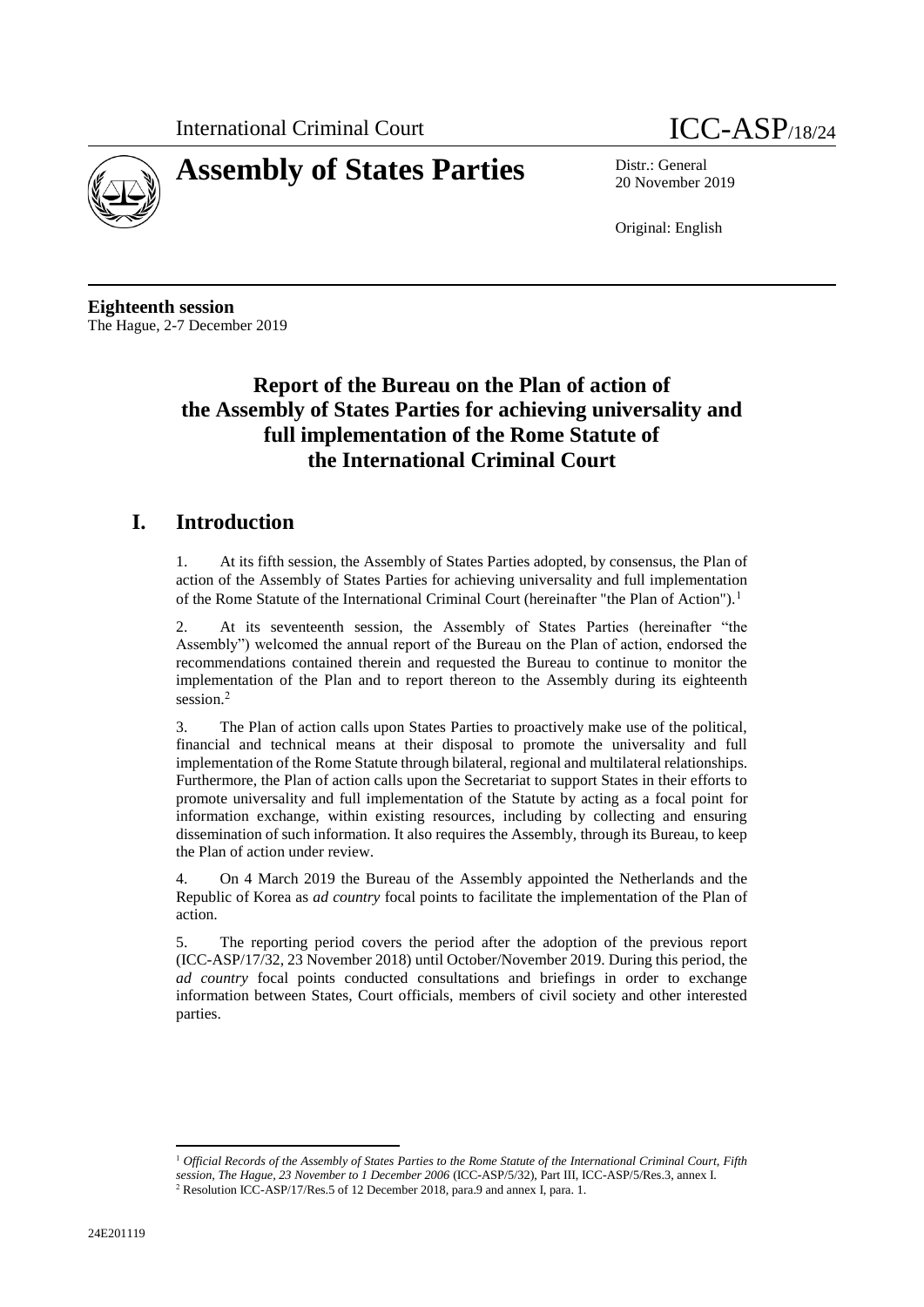



20 November 2019

Original: English

**Eighteenth session** The Hague, 2-7 December 2019

# **Report of the Bureau on the Plan of action of the Assembly of States Parties for achieving universality and full implementation of the Rome Statute of the International Criminal Court**

# **I. Introduction**

1. At its fifth session, the Assembly of States Parties adopted, by consensus, the Plan of action of the Assembly of States Parties for achieving universality and full implementation of the Rome Statute of the International Criminal Court (hereinafter "the Plan of Action").<sup>1</sup>

2. At its seventeenth session, the Assembly of States Parties (hereinafter "the Assembly") welcomed the annual report of the Bureau on the Plan of action, endorsed the recommendations contained therein and requested the Bureau to continue to monitor the implementation of the Plan and to report thereon to the Assembly during its eighteenth session.<sup>2</sup>

3. The Plan of action calls upon States Parties to proactively make use of the political, financial and technical means at their disposal to promote the universality and full implementation of the Rome Statute through bilateral, regional and multilateral relationships. Furthermore, the Plan of action calls upon the Secretariat to support States in their efforts to promote universality and full implementation of the Statute by acting as a focal point for information exchange, within existing resources, including by collecting and ensuring dissemination of such information. It also requires the Assembly, through its Bureau, to keep the Plan of action under review.

4. On 4 March 2019 the Bureau of the Assembly appointed the Netherlands and the Republic of Korea as *ad country* focal points to facilitate the implementation of the Plan of action.

5. The reporting period covers the period after the adoption of the previous report (ICC-ASP/17/32, 23 November 2018) until October/November 2019. During this period, the *ad country* focal points conducted consultations and briefings in order to exchange information between States, Court officials, members of civil society and other interested parties.

 $\overline{\phantom{a}}$ <sup>1</sup> *Official Records of the Assembly of States Parties to the Rome Statute of the International Criminal Court, Fifth session, The Hague, 23 November to 1 December 2006* (ICC-ASP/5/32), Part III, ICC-ASP/5/Res.3, annex I. <sup>2</sup> Resolution ICC-ASP/17/Res.5 of 12 December 2018, para.9 and annex I, para. 1.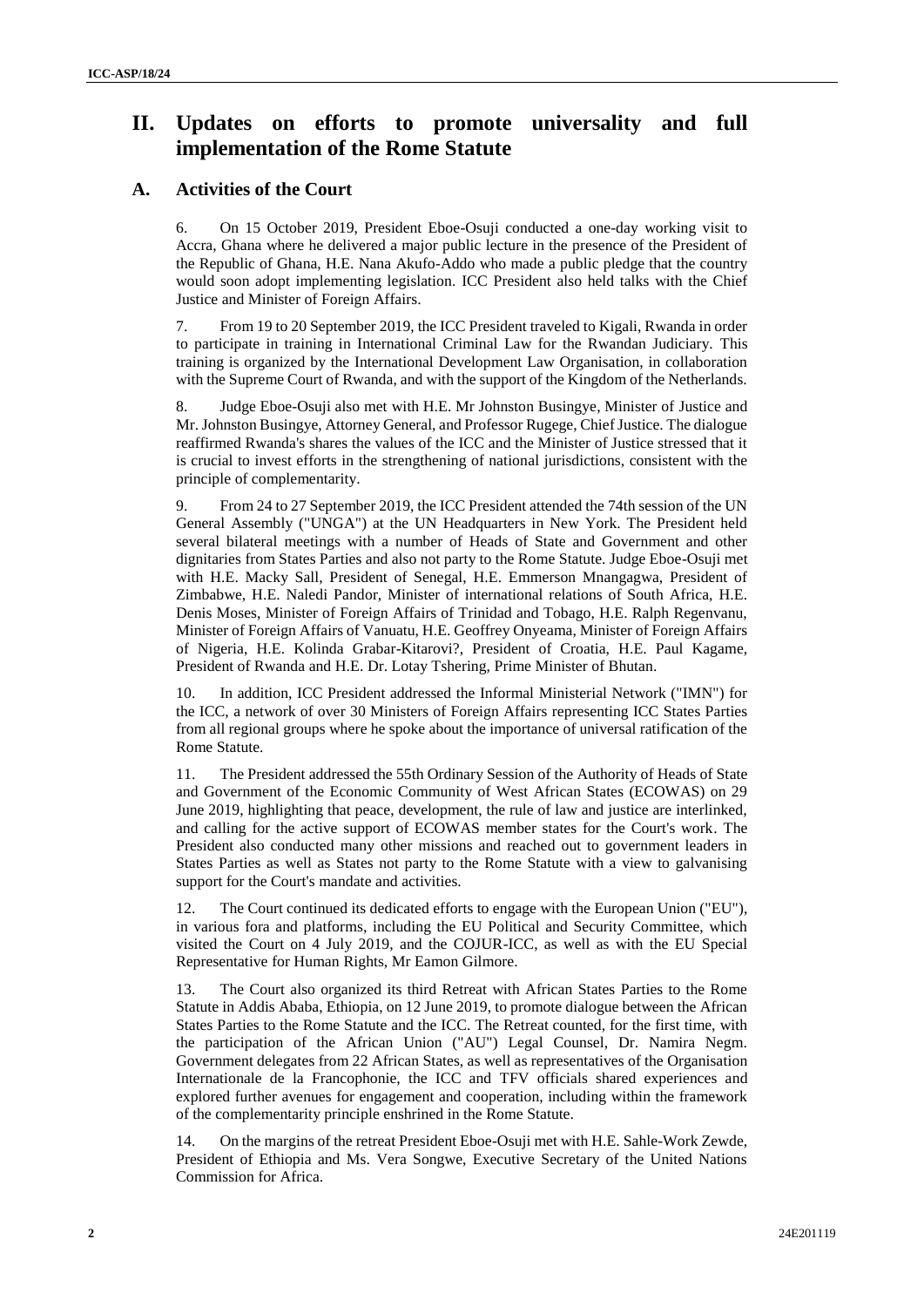# **II. Updates on efforts to promote universality and full implementation of the Rome Statute**

## **A. Activities of the Court**

6. On 15 October 2019, President Eboe-Osuji conducted a one-day working visit to Accra, Ghana where he delivered a major public lecture in the presence of the President of the Republic of Ghana, H.E. Nana Akufo-Addo who made a public pledge that the country would soon adopt implementing legislation. ICC President also held talks with the Chief Justice and Minister of Foreign Affairs.

7. From 19 to 20 September 2019, the ICC President traveled to Kigali, Rwanda in order to participate in training in International Criminal Law for the Rwandan Judiciary. This training is organized by the International Development Law Organisation, in collaboration with the Supreme Court of Rwanda, and with the support of the Kingdom of the Netherlands.

8. Judge Eboe-Osuji also met with H.E. Mr Johnston Busingye, Minister of Justice and Mr. Johnston Busingye, Attorney General, and Professor Rugege, Chief Justice. The dialogue reaffirmed Rwanda's shares the values of the ICC and the Minister of Justice stressed that it is crucial to invest efforts in the strengthening of national jurisdictions, consistent with the principle of complementarity.

9. From 24 to 27 September 2019, the ICC President attended the 74th session of the UN General Assembly ("UNGA") at the UN Headquarters in New York. The President held several bilateral meetings with a number of Heads of State and Government and other dignitaries from States Parties and also not party to the Rome Statute. Judge Eboe-Osuji met with H.E. Macky Sall, President of Senegal, H.E. Emmerson Mnangagwa, President of Zimbabwe, H.E. Naledi Pandor, Minister of international relations of South Africa, H.E. Denis Moses, Minister of Foreign Affairs of Trinidad and Tobago, H.E. Ralph Regenvanu, Minister of Foreign Affairs of Vanuatu, H.E. Geoffrey Onyeama, Minister of Foreign Affairs of Nigeria, H.E. Kolinda Grabar-Kitarovi?, President of Croatia, H.E. Paul Kagame, President of Rwanda and H.E. Dr. Lotay Tshering, Prime Minister of Bhutan.

10. In addition, ICC President addressed the Informal Ministerial Network ("IMN") for the ICC, a network of over 30 Ministers of Foreign Affairs representing ICC States Parties from all regional groups where he spoke about the importance of universal ratification of the Rome Statute.

11. The President addressed the 55th Ordinary Session of the Authority of Heads of State and Government of the Economic Community of West African States (ECOWAS) on 29 June 2019, highlighting that peace, development, the rule of law and justice are interlinked, and calling for the active support of ECOWAS member states for the Court's work. The President also conducted many other missions and reached out to government leaders in States Parties as well as States not party to the Rome Statute with a view to galvanising support for the Court's mandate and activities.

12. The Court continued its dedicated efforts to engage with the European Union ("EU"), in various fora and platforms, including the EU Political and Security Committee, which visited the Court on 4 July 2019, and the COJUR-ICC, as well as with the EU Special Representative for Human Rights, Mr Eamon Gilmore.

13. The Court also organized its third Retreat with African States Parties to the Rome Statute in Addis Ababa, Ethiopia, on 12 June 2019, to promote dialogue between the African States Parties to the Rome Statute and the ICC. The Retreat counted, for the first time, with the participation of the African Union ("AU") Legal Counsel, Dr. Namira Negm. Government delegates from 22 African States, as well as representatives of the Organisation Internationale de la Francophonie, the ICC and TFV officials shared experiences and explored further avenues for engagement and cooperation, including within the framework of the complementarity principle enshrined in the Rome Statute.

14. On the margins of the retreat President Eboe-Osuji met with H.E. Sahle-Work Zewde, President of Ethiopia and Ms. Vera Songwe, Executive Secretary of the United Nations Commission for Africa.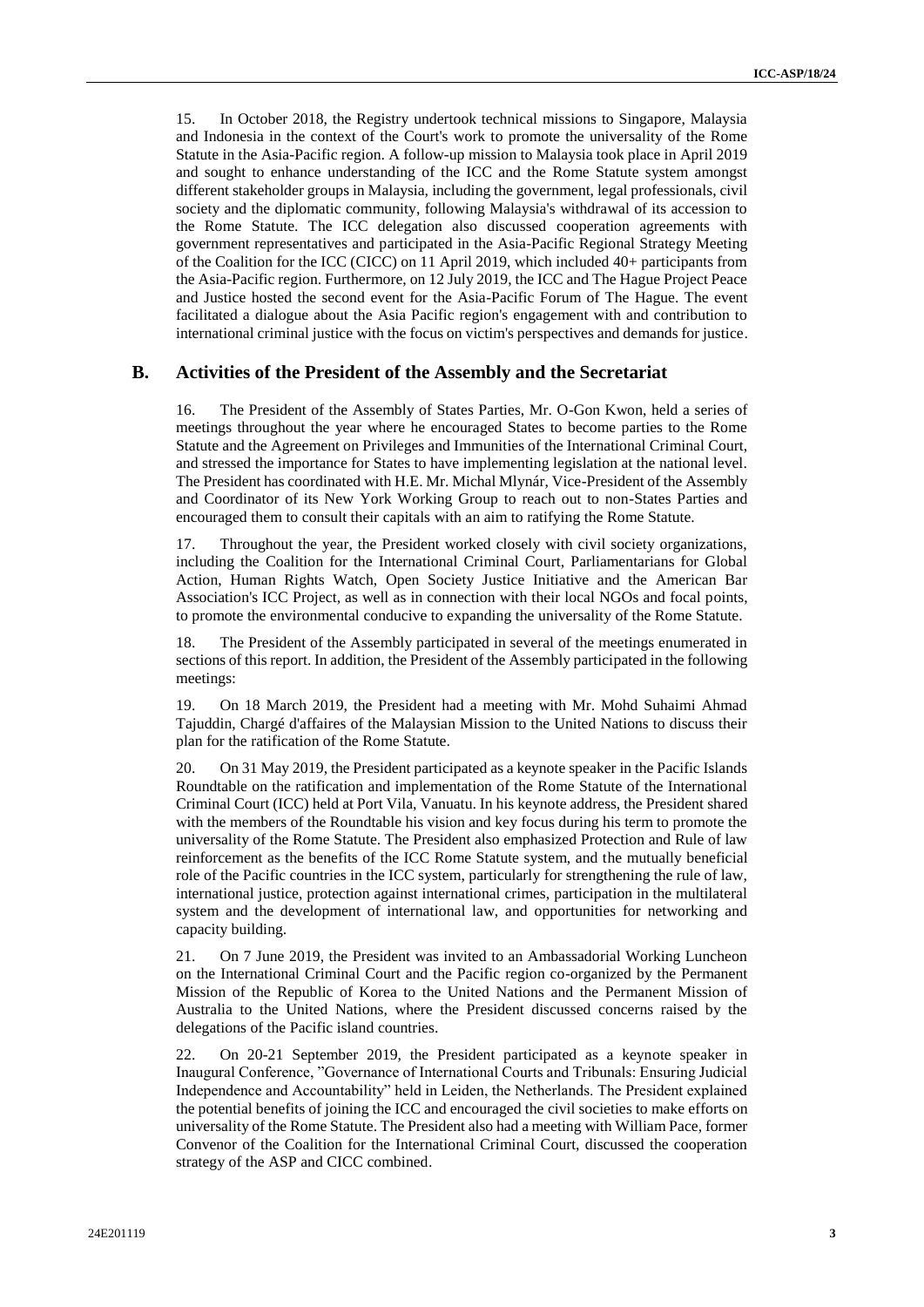15. In October 2018, the Registry undertook technical missions to Singapore, Malaysia and Indonesia in the context of the Court's work to promote the universality of the Rome Statute in the Asia-Pacific region. A follow-up mission to Malaysia took place in April 2019 and sought to enhance understanding of the ICC and the Rome Statute system amongst different stakeholder groups in Malaysia, including the government, legal professionals, civil society and the diplomatic community, following Malaysia's withdrawal of its accession to the Rome Statute. The ICC delegation also discussed cooperation agreements with government representatives and participated in the Asia-Pacific Regional Strategy Meeting of the Coalition for the ICC (CICC) on 11 April 2019, which included 40+ participants from the Asia-Pacific region. Furthermore, on 12 July 2019, the ICC and The Hague Project Peace and Justice hosted the second event for the Asia-Pacific Forum of The Hague. The event facilitated a dialogue about the Asia Pacific region's engagement with and contribution to international criminal justice with the focus on victim's perspectives and demands for justice.

### **B. Activities of the President of the Assembly and the Secretariat**

16. The President of the Assembly of States Parties, Mr. O-Gon Kwon, held a series of meetings throughout the year where he encouraged States to become parties to the Rome Statute and the Agreement on Privileges and Immunities of the International Criminal Court, and stressed the importance for States to have implementing legislation at the national level. The President has coordinated with H.E. Mr. Michal Mlynár, Vice-President of the Assembly and Coordinator of its New York Working Group to reach out to non-States Parties and encouraged them to consult their capitals with an aim to ratifying the Rome Statute.

17. Throughout the year, the President worked closely with civil society organizations, including the Coalition for the International Criminal Court, Parliamentarians for Global Action, Human Rights Watch, Open Society Justice Initiative and the American Bar Association's ICC Project, as well as in connection with their local NGOs and focal points, to promote the environmental conducive to expanding the universality of the Rome Statute.

18. The President of the Assembly participated in several of the meetings enumerated in sections of this report. In addition, the President of the Assembly participated in the following meetings:

19. On 18 March 2019, the President had a meeting with Mr. Mohd Suhaimi Ahmad Tajuddin, Chargé d'affaires of the Malaysian Mission to the United Nations to discuss their plan for the ratification of the Rome Statute.

20. On 31 May 2019, the President participated as a keynote speaker in the Pacific Islands Roundtable on the ratification and implementation of the Rome Statute of the International Criminal Court (ICC) held at Port Vila, Vanuatu. In his keynote address, the President shared with the members of the Roundtable his vision and key focus during his term to promote the universality of the Rome Statute. The President also emphasized Protection and Rule of law reinforcement as the benefits of the ICC Rome Statute system, and the mutually beneficial role of the Pacific countries in the ICC system, particularly for strengthening the rule of law, international justice, protection against international crimes, participation in the multilateral system and the development of international law, and opportunities for networking and capacity building.

21. On 7 June 2019, the President was invited to an Ambassadorial Working Luncheon on the International Criminal Court and the Pacific region co-organized by the Permanent Mission of the Republic of Korea to the United Nations and the Permanent Mission of Australia to the United Nations, where the President discussed concerns raised by the delegations of the Pacific island countries.

22. On 20-21 September 2019, the President participated as a keynote speaker in Inaugural Conference, "Governance of International Courts and Tribunals: Ensuring Judicial Independence and Accountability" held in Leiden, the Netherlands. The President explained the potential benefits of joining the ICC and encouraged the civil societies to make efforts on universality of the Rome Statute. The President also had a meeting with William Pace, former Convenor of the Coalition for the International Criminal Court, discussed the cooperation strategy of the ASP and CICC combined.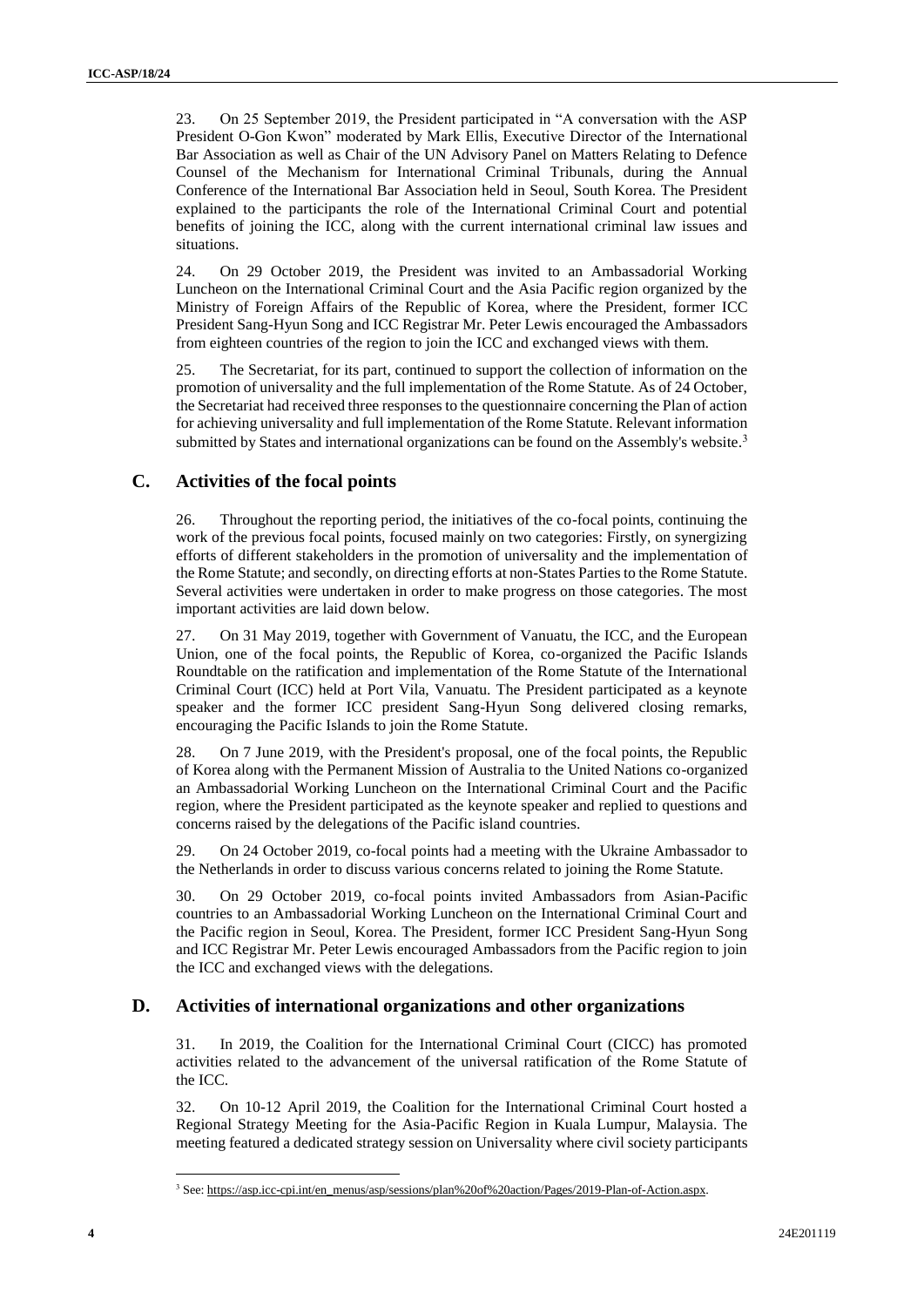23. On 25 September 2019, the President participated in "A conversation with the ASP President O-Gon Kwon" moderated by Mark Ellis, Executive Director of the [International](https://en.wikipedia.org/wiki/International_Bar_Association)  [Bar Association](https://en.wikipedia.org/wiki/International_Bar_Association) as well as Chair of the UN Advisory Panel on Matters Relating to Defence Counsel of the [Mechanism for International Criminal Tribunals,](https://en.wikipedia.org/wiki/Mechanism_for_International_Criminal_Tribunals) during the Annual Conference of the International Bar Association held in Seoul, South Korea. The President explained to the participants the role of the International Criminal Court and potential benefits of joining the ICC, along with the current international criminal law issues and situations.

24. On 29 October 2019, the President was invited to an Ambassadorial Working Luncheon on the International Criminal Court and the Asia Pacific region organized by the Ministry of Foreign Affairs of the Republic of Korea, where the President, former ICC President Sang-Hyun Song and ICC Registrar Mr. Peter Lewis encouraged the Ambassadors from eighteen countries of the region to join the ICC and exchanged views with them.

25. The Secretariat, for its part, continued to support the collection of information on the promotion of universality and the full implementation of the Rome Statute. As of 24 October, the Secretariat had received three responses to the questionnaire concerning the Plan of action for achieving universality and full implementation of the Rome Statute. Relevant information submitted by States and international organizations can be found on the Assembly's website.<sup>3</sup>

### **C. Activities of the focal points**

26. Throughout the reporting period, the initiatives of the co-focal points, continuing the work of the previous focal points, focused mainly on two categories: Firstly, on synergizing efforts of different stakeholders in the promotion of universality and the implementation of the Rome Statute; and secondly, on directing efforts at non-States Parties to the Rome Statute. Several activities were undertaken in order to make progress on those categories. The most important activities are laid down below.

27. On 31 May 2019, together with Government of Vanuatu, the ICC, and the European Union, one of the focal points, the Republic of Korea, co-organized the Pacific Islands Roundtable on the ratification and implementation of the Rome Statute of the International Criminal Court (ICC) held at Port Vila, Vanuatu. The President participated as a keynote speaker and the former ICC president Sang-Hyun Song delivered closing remarks, encouraging the Pacific Islands to join the Rome Statute.

28. On 7 June 2019, with the President's proposal, one of the focal points, the Republic of Korea along with the Permanent Mission of Australia to the United Nations co-organized an Ambassadorial Working Luncheon on the International Criminal Court and the Pacific region, where the President participated as the keynote speaker and replied to questions and concerns raised by the delegations of the Pacific island countries.

29. On 24 October 2019, co-focal points had a meeting with the Ukraine Ambassador to the Netherlands in order to discuss various concerns related to joining the Rome Statute.

30. On 29 October 2019, co-focal points invited Ambassadors from Asian-Pacific countries to an Ambassadorial Working Luncheon on the International Criminal Court and the Pacific region in Seoul, Korea. The President, former ICC President Sang-Hyun Song and ICC Registrar Mr. Peter Lewis encouraged Ambassadors from the Pacific region to join the ICC and exchanged views with the delegations.

### **D. Activities of international organizations and other organizations**

31. In 2019, the Coalition for the International Criminal Court (CICC) has promoted activities related to the advancement of the universal ratification of the Rome Statute of the ICC.

32. On 10-12 April 2019, the Coalition for the International Criminal Court hosted a Regional Strategy Meeting for the Asia-Pacific Region in Kuala Lumpur, Malaysia. The meeting featured a dedicated strategy session on Universality where civil society participants

 $\overline{\phantom{a}}$ 

<sup>3</sup> See[: https://asp.icc-cpi.int/en\\_menus/asp/sessions/plan%20of%20action/Pages/2019-Plan-of-Action.aspx.](https://asp.icc-cpi.int/en_menus/asp/sessions/plan%20of%20action/Pages/2019-Plan-of-Action.aspx)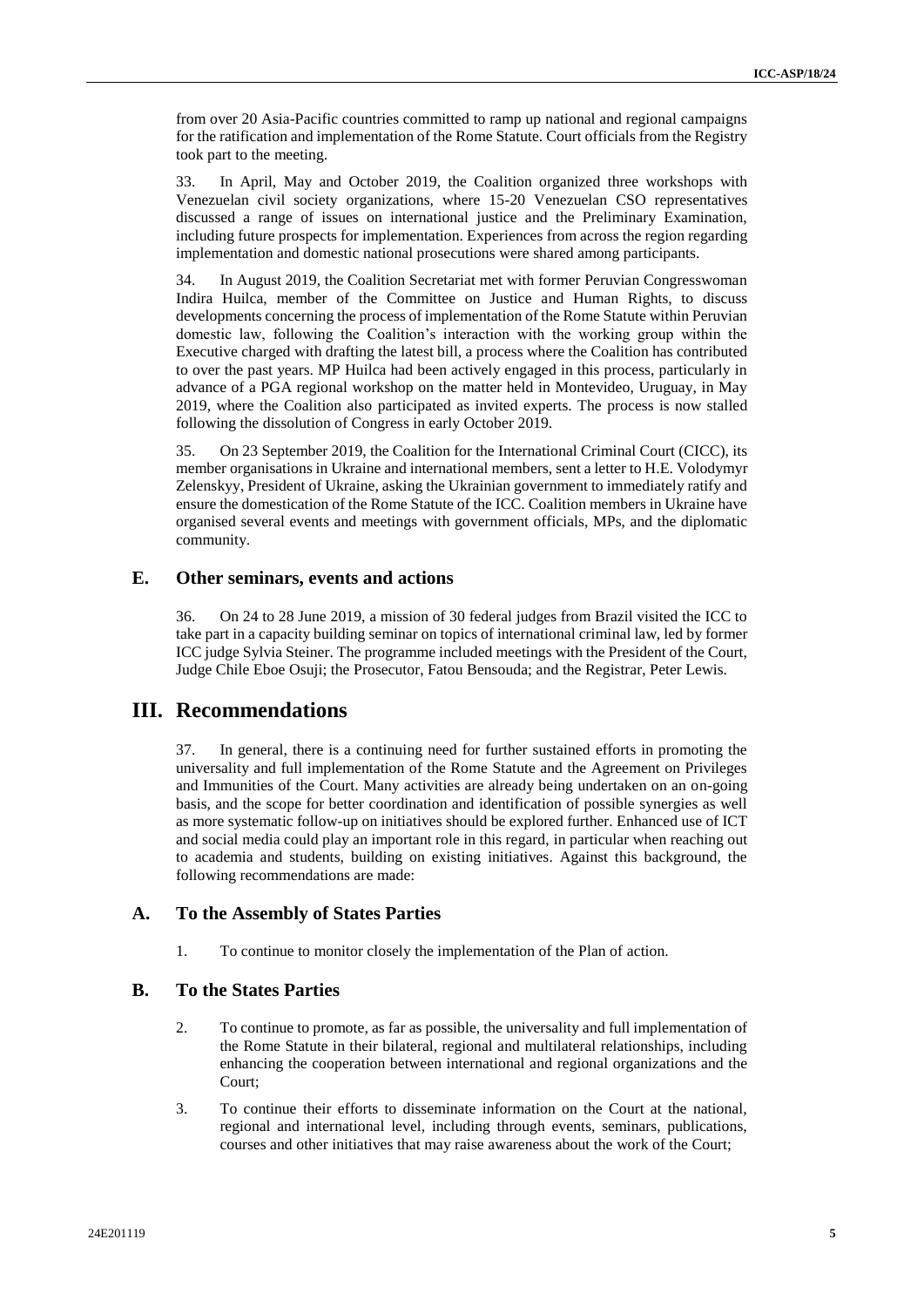from over 20 Asia-Pacific countries committed to ramp up national and regional campaigns for the ratification and implementation of the Rome Statute. Court officials from the Registry took part to the meeting.

33. In April, May and October 2019, the Coalition organized three workshops with Venezuelan civil society organizations, where 15-20 Venezuelan CSO representatives discussed a range of issues on international justice and the Preliminary Examination, including future prospects for implementation. Experiences from across the region regarding implementation and domestic national prosecutions were shared among participants.

34. In August 2019, the Coalition Secretariat met with former Peruvian Congresswoman Indira Huilca, member of the Committee on Justice and Human Rights, to discuss developments concerning the process of implementation of the Rome Statute within Peruvian domestic law, following the Coalition's interaction with the working group within the Executive charged with drafting the latest bill, a process where the Coalition has contributed to over the past years. MP Huilca had been actively engaged in this process, particularly in advance of a PGA regional workshop on the matter held in Montevideo, Uruguay, in May 2019, where the Coalition also participated as invited experts. The process is now stalled following the dissolution of Congress in early October 2019.

35. On 23 September 2019, the Coalition for the International Criminal Court (CICC), its member organisations in Ukraine and international members, sent a letter to H.E. Volodymyr Zelenskyy, President of Ukraine, asking the Ukrainian government to immediately ratify and ensure the domestication of the Rome Statute of the ICC. Coalition members in Ukraine have organised several events and meetings with government officials, MPs, and the diplomatic community.

#### **E. Other seminars, events and actions**

36. On 24 to 28 June 2019, a mission of 30 federal judges from Brazil visited the ICC to take part in a capacity building seminar on topics of international criminal law, led by former ICC judge Sylvia Steiner. The programme included meetings with the President of the Court, Judge Chile Eboe Osuji; the Prosecutor, Fatou Bensouda; and the Registrar, Peter Lewis.

## **III. Recommendations**

37. In general, there is a continuing need for further sustained efforts in promoting the universality and full implementation of the Rome Statute and the Agreement on Privileges and Immunities of the Court. Many activities are already being undertaken on an on-going basis, and the scope for better coordination and identification of possible synergies as well as more systematic follow-up on initiatives should be explored further. Enhanced use of ICT and social media could play an important role in this regard, in particular when reaching out to academia and students, building on existing initiatives. Against this background, the following recommendations are made:

#### **A. To the Assembly of States Parties**

1. To continue to monitor closely the implementation of the Plan of action.

#### **B. To the States Parties**

- 2. To continue to promote, as far as possible, the universality and full implementation of the Rome Statute in their bilateral, regional and multilateral relationships, including enhancing the cooperation between international and regional organizations and the Court;
- 3. To continue their efforts to disseminate information on the Court at the national, regional and international level, including through events, seminars, publications, courses and other initiatives that may raise awareness about the work of the Court;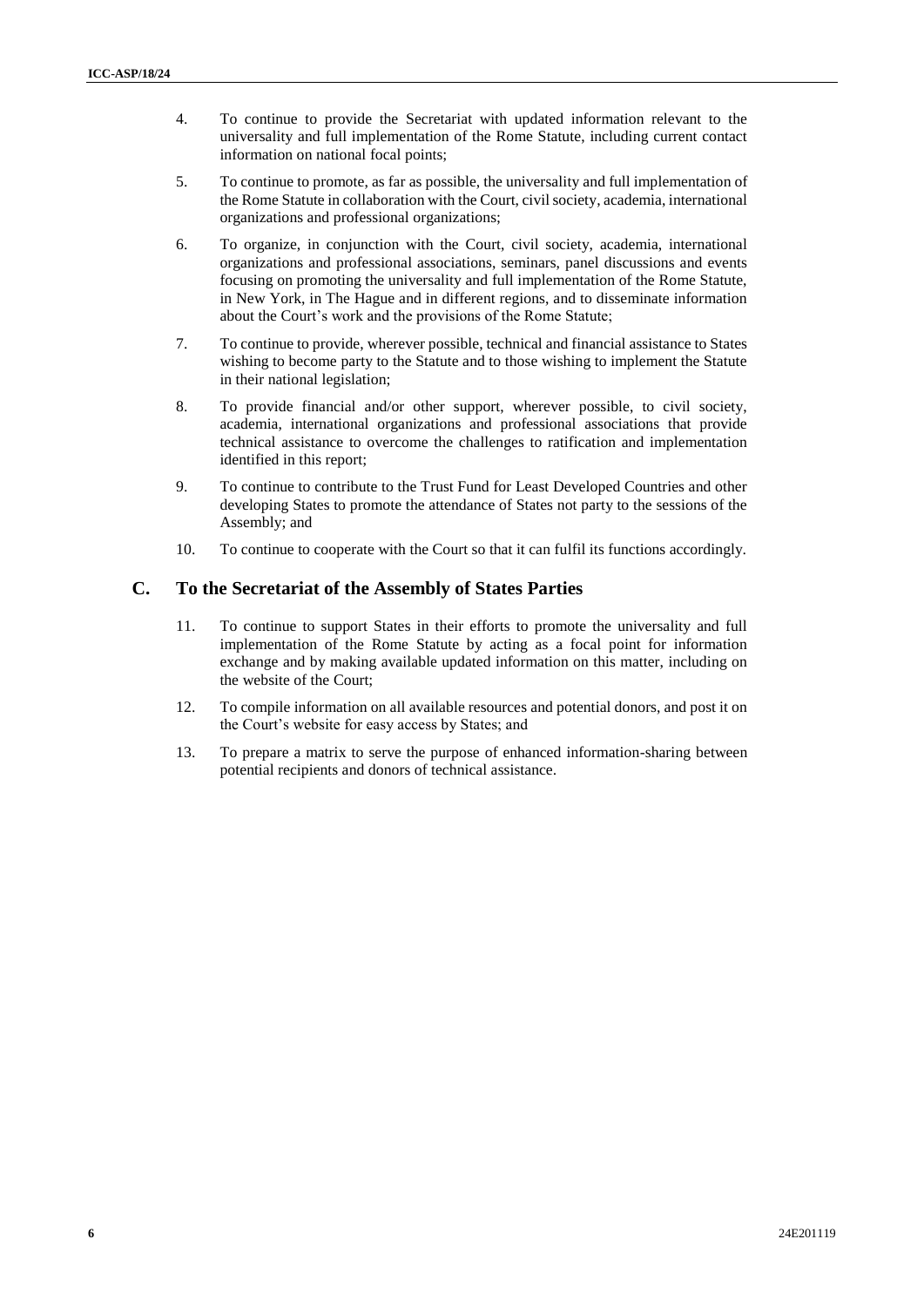- 4. To continue to provide the Secretariat with updated information relevant to the universality and full implementation of the Rome Statute, including current contact information on national focal points;
- 5. To continue to promote, as far as possible, the universality and full implementation of the Rome Statute in collaboration with the Court, civil society, academia, international organizations and professional organizations;
- 6. To organize, in conjunction with the Court, civil society, academia, international organizations and professional associations, seminars, panel discussions and events focusing on promoting the universality and full implementation of the Rome Statute, in New York, in The Hague and in different regions, and to disseminate information about the Court's work and the provisions of the Rome Statute;
- 7. To continue to provide, wherever possible, technical and financial assistance to States wishing to become party to the Statute and to those wishing to implement the Statute in their national legislation;
- 8. To provide financial and/or other support, wherever possible, to civil society, academia, international organizations and professional associations that provide technical assistance to overcome the challenges to ratification and implementation identified in this report;
- 9. To continue to contribute to the Trust Fund for Least Developed Countries and other developing States to promote the attendance of States not party to the sessions of the Assembly; and
- 10. To continue to cooperate with the Court so that it can fulfil its functions accordingly.

### **C. To the Secretariat of the Assembly of States Parties**

- 11. To continue to support States in their efforts to promote the universality and full implementation of the Rome Statute by acting as a focal point for information exchange and by making available updated information on this matter, including on the website of the Court;
- 12. To compile information on all available resources and potential donors, and post it on the Court's website for easy access by States; and
- 13. To prepare a matrix to serve the purpose of enhanced information-sharing between potential recipients and donors of technical assistance.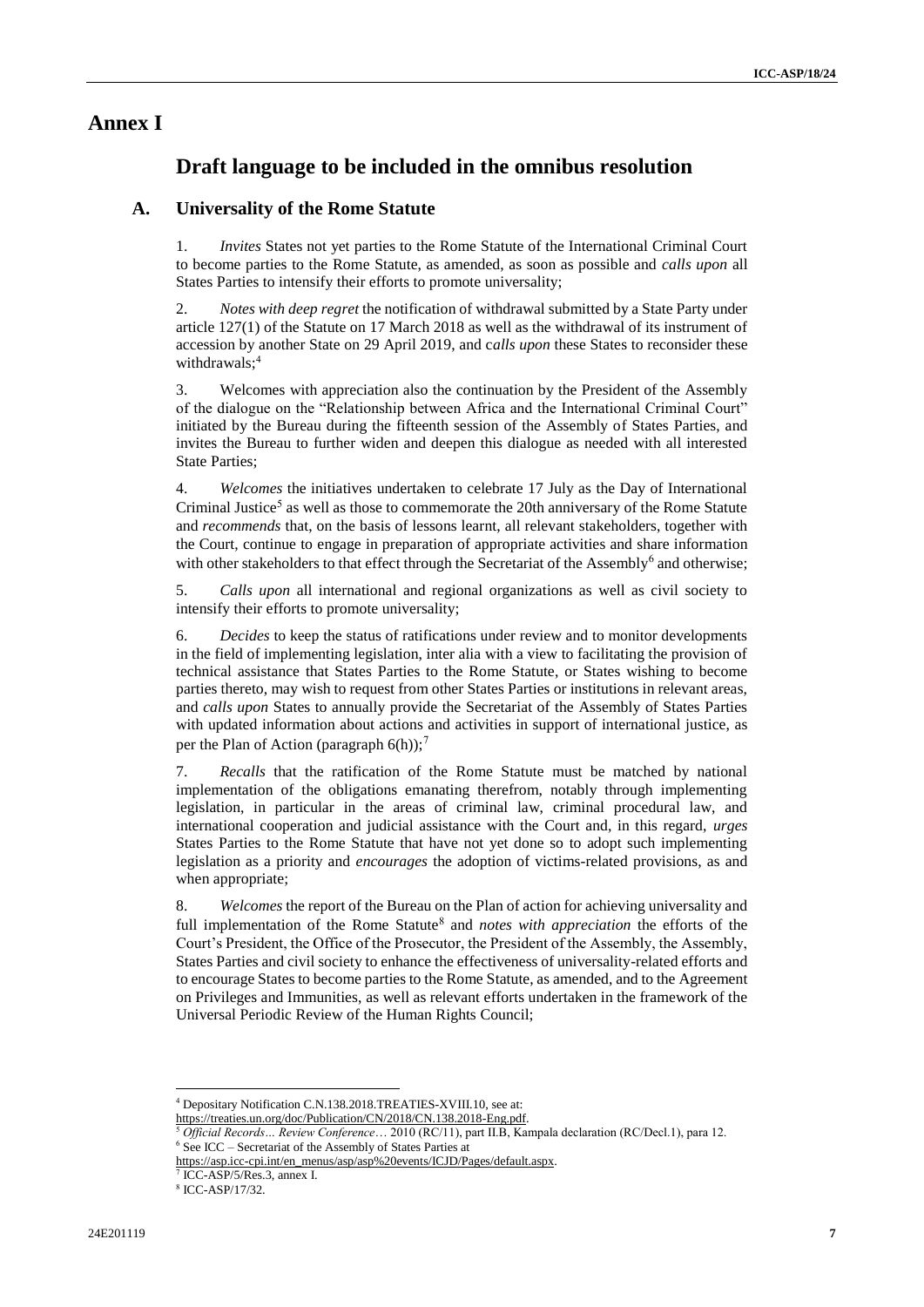## **Annex I**

# **Draft language to be included in the omnibus resolution**

### **A. Universality of the Rome Statute**

1. *Invites* States not yet parties to the Rome Statute of the International Criminal Court to become parties to the Rome Statute, as amended, as soon as possible and *calls upon* all States Parties to intensify their efforts to promote universality;

2. *Notes with deep regret* the notification of withdrawal submitted by a State Party under article 127(1) of the Statute on 17 March 2018 as well as the withdrawal of its instrument of accession by another State on 29 April 2019, and c*alls upon* these States to reconsider these withdrawals;<sup>4</sup>

3. Welcomes with appreciation also the continuation by the President of the Assembly of the dialogue on the "Relationship between Africa and the International Criminal Court" initiated by the Bureau during the fifteenth session of the Assembly of States Parties, and invites the Bureau to further widen and deepen this dialogue as needed with all interested State Parties;

4. *Welcomes* the initiatives undertaken to celebrate 17 July as the Day of International Criminal Justice<sup>5</sup> as well as those to commemorate the 20th anniversary of the Rome Statute and *recommends* that, on the basis of lessons learnt, all relevant stakeholders, together with the Court, continue to engage in preparation of appropriate activities and share information with other stakeholders to that effect through the Secretariat of the Assembly<sup>6</sup> and otherwise;

5. *Calls upon* all international and regional organizations as well as civil society to intensify their efforts to promote universality;

6. *Decides* to keep the status of ratifications under review and to monitor developments in the field of implementing legislation, inter alia with a view to facilitating the provision of technical assistance that States Parties to the Rome Statute, or States wishing to become parties thereto, may wish to request from other States Parties or institutions in relevant areas, and *calls upon* States to annually provide the Secretariat of the Assembly of States Parties with updated information about actions and activities in support of international justice, as per the Plan of Action (paragraph  $6(h)$ );<sup>7</sup>

7. *Recalls* that the ratification of the Rome Statute must be matched by national implementation of the obligations emanating therefrom, notably through implementing legislation, in particular in the areas of criminal law, criminal procedural law, and international cooperation and judicial assistance with the Court and, in this regard, *urges*  States Parties to the Rome Statute that have not yet done so to adopt such implementing legislation as a priority and *encourages* the adoption of victims-related provisions, as and when appropriate;

8. *Welcomes* the report of the Bureau on the Plan of action for achieving universality and full implementation of the Rome Statute<sup>8</sup> and *notes with appreciation* the efforts of the Court's President, the Office of the Prosecutor, the President of the Assembly, the Assembly, States Parties and civil society to enhance the effectiveness of universality-related efforts and to encourage States to become parties to the Rome Statute, as amended, and to the Agreement on Privileges and Immunities, as well as relevant efforts undertaken in the framework of the Universal Periodic Review of the Human Rights Council;

 $\overline{\phantom{a}}$ 

<sup>4</sup> Depositary Notification C.N.138.2018.TREATIES-XVIII.10, see at:

[https://treaties.un.org/doc/Publication/CN/2018/CN.138.2018-Eng.pdf.](https://treaties.un.org/doc/Publication/CN/2018/CN.138.2018-Eng.pdf)

<sup>5</sup> *Official Records… Review Conference*… 2010 (RC/11), part II.B, Kampala declaration (RC/Decl.1), para 12. <sup>6</sup> See ICC – Secretariat of the Assembly of States Parties at

[https://asp.icc-cpi.int/en\\_menus/asp/asp%20events/ICJD/Pages/default.aspx.](https://asp.icc-cpi.int/en_menus/asp/asp%20events/ICJD/Pages/default.aspx)

<sup>7</sup> ICC-ASP/5/Res.3, annex I.

<sup>8</sup> ICC-ASP/17/32.